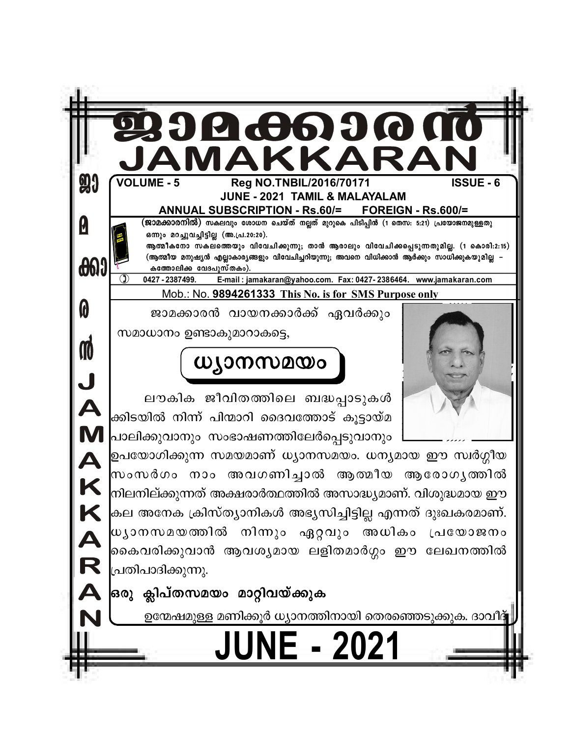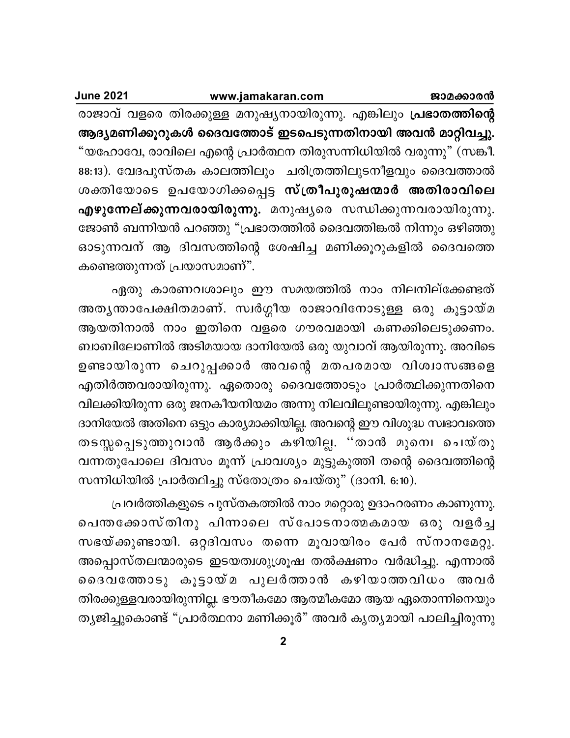ജാമക്കാരൻ

www.jamakaran.com

**June 2021** 

രാജാവ് വളരെ തിരക്കുള്ള മനുഷ്യനായിരുന്നു. എങ്കിലും **പ്രഭാതത്തിന്റെ** ആദ്യമണിക്കൂറുകൾ ദൈവത്തോട് ഇടപെടുന്നതിനായി അവൻ മാറ്റിവച്ചു. "യഹോവേ, രാവിലെ എന്റെ പ്രാർത്ഥന തിരുസന്നിധിയിൽ വരുന്നു" (സങ്കീ. 88:13). വേദപുസ്തക കാലത്തിലും ചരിത്രത്തിലുടനീളവും ദൈവത്താൽ ശക്തിയോടെ ഉപയോഗിക്കപ്പെട്ട സ്ത്രീപുരുഷന്മാർ അതിരാവിലെ എഴുന്നേല്ക്കുന്നവരായിരുന്നു. മനുഷ്യരെ സന്ധിക്കുന്നവരായിരുന്നു. ജോൺ ബന്നിയൻ പറഞ്ഞു "പ്രഭാതത്തിൽ ദൈവത്തിങ്കൽ നിന്നും ഒഴിഞ്ഞു ഓടുന്നവന് ആ ദിവസത്തിന്റെ ശേഷിച്ച മണിക്കൂറുകളിൽ ദൈവത്തെ കണ്ടെത്തുന്നത് പ്രയാസമാണ്".

ഏതു കാരണവശാലും ഈ സമയത്തിൽ നാം നിലനില്ക്കേണ്ടത് അതൃന്താപേക്ഷിതമാണ്. സ്വർഗ്ഗീയ രാജാവിനോടുള്ള ഒരു കൂട്ടായ്മ ആയതിനാൽ നാം ഇതിനെ വളരെ ഗൗരവമായി കണക്കിലെടുക്കണം. ബാബിലോണിൽ അടിമയായ ദാനിയേൽ ഒരു യുവാവ് ആയിരുന്നു. അവിടെ ഉണ്ടായിരുന്ന ചെറുപ്പക്കാർ അവന്റെ മതപരമായ വിശ്വാസങ്ങളെ എതിർത്തവരായിരുന്നു. ഏതൊരു ദൈവത്തോടും പ്രാർത്ഥിക്കുന്നതിനെ വിലക്കിയിരുന്ന ഒരു ജനകീയനിയമം അന്നു നിലവിലുണ്ടായിരുന്നു. എങ്കിലും ദാനിയേൽ അതിനെ ഒട്ടും കാര്യമാക്കിയില്ല. അവന്റെ ഈ വിശുദ്ധ സ്വഭാവത്തെ തടസ്സപ്പെടുത്തുവാൻ ആർക്കും കഴിയില്ല. ''താൻ മുമ്പെ ചെയ്തു വന്നതുപോലെ ദിവസം മൂന്ന് പ്രാവശ്യം മുട്ടുകുത്തി തന്റെ ദൈവത്തിന്റെ സന്നിധിയിൽ പ്രാർത്ഥിച്ചു സ്തോത്രം ചെയ്തു" (ദാനി. 6:10).

പ്രവർത്തികളുടെ പുസ്തകത്തിൽ നാം മറ്റൊരു ഉദാഹരണം കാണുന്നു. പെന്തക്കോസ്തിനു പിന്നാലെ സ്പോടനാത്മകമായ ഒരു വളർച്ച സഭയ്ക്കുണ്ടായി. ഒറ്റദിവസം തന്നെ മൂവായിരം പേർ സ്നാനമേറ്റു. അപ്പൊസ്തലന്മാരുടെ ഇടയത്വശുശ്രൂഷ തൽക്ഷണം വർദ്ധിച്ചു. എന്നാൽ ദൈവത്തോടു കൂട്ടായ്മ പുലർത്താൻ കഴിയാത്തവിധം അവർ തിരക്കുള്ളവരായിരുന്നില്ല. ഭൗതീകമോ ആത്മീകമോ ആയ ഏതൊന്നിനെയും ത്യജിച്ചുകൊണ്ട് "പ്രാർത്ഥനാ മണിക്കൂർ" അവർ കൃത്യമായി പാലിച്ചിരുന്നു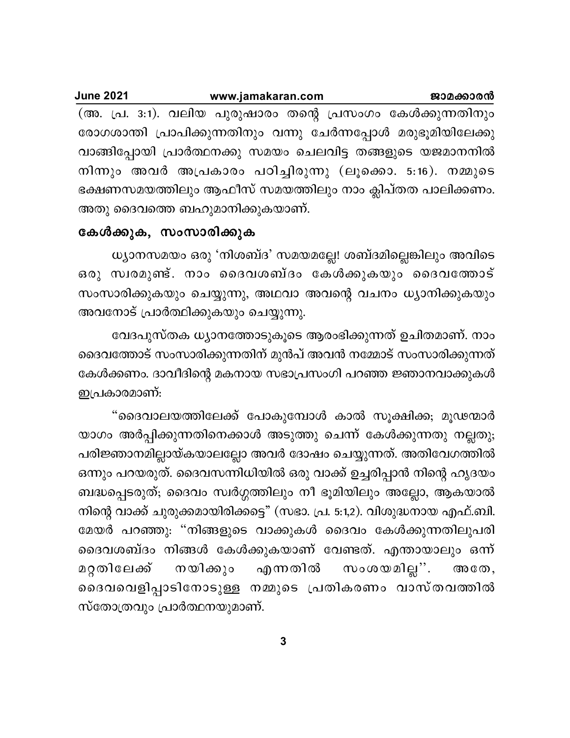| <b>June 2021</b> | www.jamakaran.com                                              | ജാമക്കാരൻ |
|------------------|----------------------------------------------------------------|-----------|
|                  | (അ. പ്ര. 3:1). വലിയ പുരുഷാരം തന്റെ പ്രസംഗം കേൾക്കുന്നതിനും     |           |
|                  | രോഗശാന്തി പ്രാപിക്കുന്നതിനും വന്നു ചേർന്നപ്പോൾ മരുഭൂമിയിലേക്കു |           |
|                  | വാങ്ങിപ്പോയി പ്രാർത്ഥനക്കു സമയം ചെലവിട്ട തങ്ങളുടെ യജമാനനിൽ     |           |
|                  | നിന്നും അവർ അപ്രകാരം പഠിച്ചിരുന്നു (ലൂക്കൊ. 5:16). നമ്മുടെ     |           |
|                  | ഭക്ഷണസമയത്തിലും ആഫീസ് സമയത്തിലും നാം ക്ലിപ്തത പാലിക്കണം.       |           |
|                  | അതു ദൈവത്തെ ബഹുമാനിക്കുകയാണ്.                                  |           |

### കേൾക്കുക, സംസാരിക്കുക

ധ്യാനസമയം ഒരു 'നിശബ്ദ' സമയമല്ലേ! ശബ്ദമില്ലെങ്കിലും അവിടെ ഒരു സ്വരമുണ്ട്. നാം ദൈവശബ്ദം കേൾക്കുകയും ദൈവത്തോട് സംസാരിക്കുകയും ചെയ്യുന്നു, അഥവാ അവന്റെ വചനം ധ്യാനിക്കുകയും അവനോട് പ്രാർത്ഥിക്കുകയും ചെയ്യുന്നു.

വേദപുസ്തക ധ്യാനത്തോടുകൂടെ ആരംഭിക്കുന്നത് ഉചിതമാണ്. നാം ദൈവത്തോട് സംസാരിക്കുന്നതിന് മുൻപ് അവൻ നമ്മോട് സംസാരിക്കുന്നത് കേൾക്കണം. ദാവീദിന്റെ മകനായ സഭാപ്രസംഗി പറഞ്ഞ ജ്ഞാനവാക്കുകൾ ഇപ്രകാരമാണ്:

"ദൈവാലയത്തിലേക്ക് പോകുമ്പോൾ കാൽ സൂക്ഷിക്ക; മൂഢന്മാർ യാഗം അർപ്പിക്കുന്നതിനെക്കാൾ അടുത്തു ചെന്ന് കേൾക്കുന്നതു നല്ലതു; പരിജ്ഞാനമില്ലായ്കയാലല്ലോ അവർ ദോഷം ചെയ്യുന്നത്. അതിവേഗത്തിൽ ഒന്നും പറയരുത്. ദൈവസന്നിധിയിൽ ഒരു വാക്ക് ഉച്ചരിപ്പാൻ നിന്റെ ഹൃദയം ബദ്ധപ്പെടരുത്; ദൈവം സ്വർഗ്ഗത്തിലും നീ ഭൂമിയിലും അല്ലോ, ആകയാൽ നിന്റെ വാക്ക് ചുരുക്കമായിരിക്കട്ടെ" (സഭാ. പ്ര. 5:1,2). വിശുദ്ധനായ എഫ്.ബി. മേയർ പറഞ്ഞു: "നിങ്ങളുടെ വാക്കുകൾ ദൈവം കേൾക്കുന്നതിലുപരി ദൈവശബ്ദം നിങ്ങൾ കേൾക്കുകയാണ് വേണ്ടത്. എന്തായാലും ഒന്ന് സംശയമില്ല". നയിക്കും മറ്റതിലേക്ക് എന്നതിൽ  $\circledcirc$   $\circledcirc$ , ദൈവവെളിപ്പാടിനോടുള്ള നമ്മുടെ പ്രതികരണം വാസ്തവത്തിൽ സ്തോത്രവും പ്രാർത്ഥനയുമാണ്.

3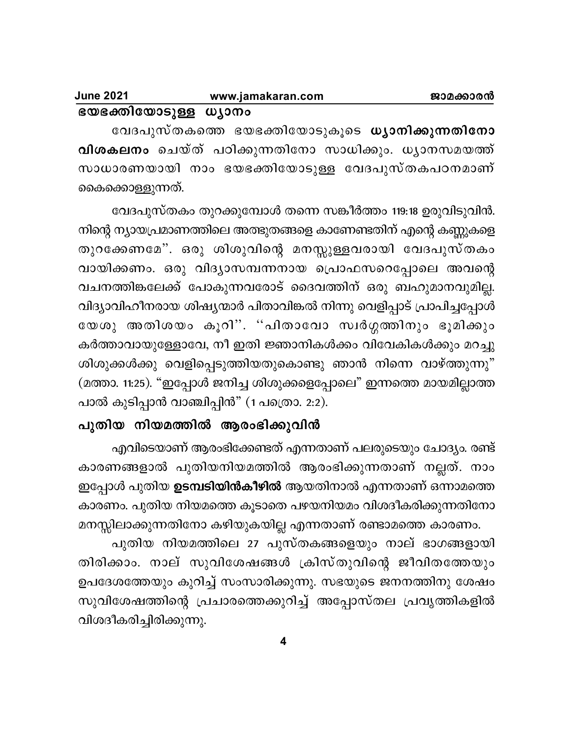| <b>June 2021</b>      | www.jamakaran.com | ജാമക്കാരൻ |
|-----------------------|-------------------|-----------|
| ഭയഭക്തിയോടുള്ള ധ്യാനം |                   |           |

വേദപുസ്തകത്തെ ഭയഭക്തിയോടുകൂടെ **ധ്യാനിക്കുന്നതിനോ** <mark>വിശകലനം</mark> ചെയ്ത് പഠിക്കുന്നതിനോ സാധിക്കും. ധൃാനസമയത്ത് സാധാരണയായി നാം ഭയഭക്തിയോടുള്ള വേദപുസ്തകപഠനമാണ് കൈക്കൊള്ളുന്നത്.

വേദപുസ്തകം തുറക്കുമ്പോൾ തന്നെ സങ്കീർത്തം 119:18 ഉരുവിടുവിൻ. നിന്റെ ന്യായപ്രമാണത്തിലെ അത്ഭുതങ്ങളെ കാണേണ്ടതിന് എന്റെ കണ്ണുകളെ തുറക്കേണമേ". ഒരു ശിശുവിന്റെ മനസ്സുള്ളവരായി വേദപുസ്തകം വായിക്കണം. ഒരു വിദ്യാസമ്പന്നനായ പ്രൊഫസറെപ്പോലെ അവന്റെ വചനത്തിങ്കലേക്ക് പോകുന്നവരോട് ദൈവത്തിന് ഒരു ബഹുമാനവുമില്ല. വിദ്യാവിഹീനരായ ശിഷ്യന്മാർ പിതാവിങ്കൽ നിന്നു വെളിപ്പാട് പ്രാപിച്ചപ്പോൾ യേശു അതിശയം കൂറി". "പിതാവോ സ്വർഗ്ഗത്തിനും ഭൂമിക്കും കർത്താവായുള്ളോവേ, നീ ഇതി ജ്ഞാനികൾക്കം വിവേകികൾക്കും മറച്ചു ശിശുക്കൾക്കു വെളിപ്പെടുത്തിയതുകൊണ്ടു ഞാൻ നിന്നെ വാഴ്ത്തുന്നു" (മത്താ. 11:25). "ഇപ്പോൾ ജനിച്ച ശിശുക്കളെപ്പോലെ" ഇന്നത്തെ മായമില്ലാത്ത പാൽ കുടിപ്പാൻ വാഞ്ചിപ്പിൻ" (1 പത്രൊ. 2:2).

## പുതിയ നിയമത്തിൽ ആരംഭിക്കുവിൻ

എവിടെയാണ് ആരംഭിക്കേണ്ടത് എന്നതാണ് പലരുടെയും ചോദ്യം. രണ്ട് കാരണങ്ങളാൽ പുതിയനിയമത്തിൽ ആരംഭിക്കുന്നതാണ് നല്ലത്. നാം ഇപ്പോൾ പുതിയ **ഉടമ്പടിയിൻകീഴിൽ** ആയതിനാൽ എന്നതാണ് ഒന്നാമത്തെ കാരണം. പുതിയ നിയമത്തെ കൂടാതെ പഴയനിയമം വിശദീകരിക്കുന്നതിനോ മനസ്സിലാക്കുന്നതിനോ കഴിയുകയില്ല എന്നതാണ് രണ്ടാമത്തെ കാരണം.

പുതിയ നിയമത്തിലെ 27 പുസ്തകങ്ങളെയും നാല് ഭാഗങ്ങളായി തിരിക്കാം. നാല് സുവിശേഷങ്ങൾ ക്രിസ്തുവിന്റെ ജീവിതത്തേയും ഉപദേശത്തേയും കുറിച്ച് സംസാരിക്കുന്നു. സഭയുടെ ജനനത്തിനു ശേഷം സുവിശേഷത്തിന്റെ പ്രചാരത്തെക്കുറിച്ച് അപ്പോസ്തല പ്രവൃത്തികളിൽ വിശദീകരിച്ചിരിക്കുന്നു.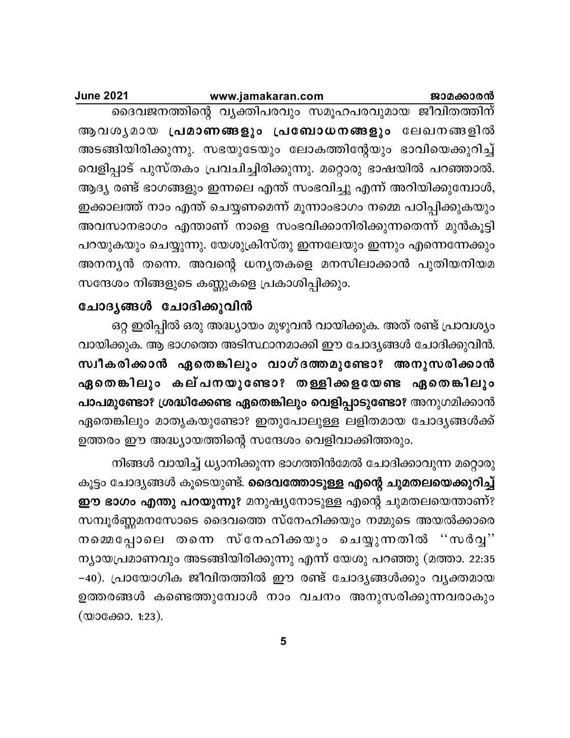#### **June 2021** www.jamakaran.com ജാമക്കാരൻ

ദൈവജനത്തിന്റെ വ്യക്തിപരവും സമൂഹപരവുമായ ജീവിതത്തിന് ആവശൃമായ പ്രമാണങ്ങളും പ്രബോധനങ്ങളും ലേഖനങ്ങളിൽ അടങ്ങിയിരിക്കുന്നു. സഭയുടേയും ലോകത്തിന്റേയും ഭാവിയെക്കുറിച്ച് വെളിപ്പാട് പുസ്തകം പ്രവചിച്ചിരിക്കുന്നു. മറ്റൊരു ഭാഷയിൽ പറഞ്ഞാൽ. ആദ്യ രണ്ട് ഭാഗങ്ങളും ഇന്നലെ എന്ത് സംഭവിച്ചു എന്ന് അറിയിക്കുമ്പോൾ, ഇക്കാലത്ത് നാം എന്ത് ചെയ്യണമെന്ന് മൂന്നാംഭാഗം നമ്മെ പഠിപ്പിക്കുകയും അവസാനഭാഗം എന്താണ് നാളെ സംഭവിക്കാനിരിക്കുന്നതെന്ന് മുൻകൂട്ടി പറയുകയും ചെയ്യുന്നു. യേശുക്രിസ്തു ഇന്നലേയും ഇന്നും എന്നെന്നേക്കും അനനൃൻ തന്നെ. അവന്റെ ധനൃതകളെ മനസിലാക്കാൻ പുതിയനിയമ സന്ദേശം നിങ്ങളുടെ കണ്ണുകളെ പ്രകാശിപ്പിക്കും.

## ചോദൃങ്ങൾ ചോദിക്കുവിൻ

ഒറ്റ ഇരിപ്പിൽ ഒരു അദ്ധ്യായം മുഴുവൻ വായിക്കുക. അത് രണ്ട് പ്രാവശ്യം വായിക്കുക. ആ ഭാഗത്തെ അടിസ്ഥാനമാക്കി ഈ ചോദ്യങ്ങൾ ചോദിക്കുവിൻ. സ്വീകരിക്കാൻ ഏതെങ്കിലും വാഗ്ദത്തമുണ്ടോ? അനുസരിക്കാൻ ഏതെങ്കിലും കല്പനയുണ്ടോ? തള്ളിക്കളയേണ്ട ഏതെങ്കിലും പാപമുണ്ടോ? ശ്രദ്ധിക്കേണ്ട ഏതെങ്കിലും വെളിപ്പാടുണ്ടോ? അനുഗമിക്കാൻ ഏതെങ്കിലും മാതൃകയുണ്ടോ? ഇതുപോലുള്ള ലളിതമായ ചോദ്യങ്ങൾക്ക് ഉത്തരം ഈ അദ്ധ്യായത്തിന്റെ സന്ദേശം വെളിവാക്കിത്തരും.

നിങ്ങൾ വായിച്ച് ധ്യാനിക്കുന്ന ഭാഗത്തിൻമേൽ ചോദിക്കാവുന്ന മറ്റൊരു കൂട്ടം ചോദ്യങ്ങൾ കൂടെയുണ്ട്. **ദൈവത്തോടുള്ള എന്റെ ചുമതലയെക്കുറിച്ച്** ഈ ഭാഗം എന്തു പറയുന്നു? മനുഷ്യനോടുള്ള എന്റെ ചുമതലയെന്താണ്? സമ്പൂർണ്ണമനസോടെ ദൈവത്തെ സ്നേഹിക്കയും നമ്മുടെ അയൽക്കാരെ നമ്മെപ്പോലെ തന്നെ സ്നേഹിക്കയും ചെയ്യുന്നതിൽ ''സർവ്വ'' ന്യായപ്രമാണവും അടങ്ങിയിരിക്കുന്നു എന്ന് യേശു പറഞ്ഞു (മത്താ. 22:35 –40). പ്രായോഗിക ജീവിതത്തിൽ ഈ രണ്ട് ചോദ്യങ്ങൾക്കും വ്യക്തമായ ഉത്തരങ്ങൾ കണ്ടെത്തുമ്പോൾ നാം വചനം അനുസരിക്കുന്നവരാകും (യാക്കോ. 1:23).

5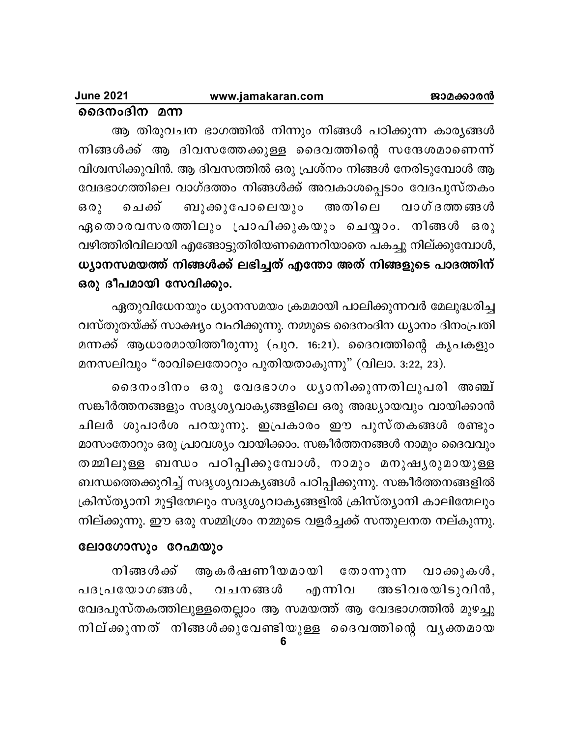### www.jamakaran.com

ദൈനംദിന മന്ന

ആ തിരുവചന ഭാഗത്തിൽ നിന്നും നിങ്ങൾ പഠിക്കുന്ന കാരൃങ്ങൾ നിങ്ങൾക്ക് ആ ദിവസത്തേക്കുള്ള ദൈവത്തിന്റെ സന്ദേശമാണെന്ന് വിശ്വസിക്കുവിൻ. ആ ദിവസത്തിൽ ഒരു പ്രശ്നം നിങ്ങൾ നേരിടുമ്പോൾ ആ വേദഭാഗത്തിലെ വാഗ്ദത്തം നിങ്ങൾക്ക് അവകാശപ്പെടാം വേദപുസ്തകം ബുക്കുപോലെയും അതിലെ ചെക്ക് വാഗ്ദത്തങ്ങൾ  $602$ ഏതൊരവസരത്തിലും പ്രാപിക്കുകയും ചെയ്യാം. നിങ്ങൾ ഒരു വഴിത്തിരിവിലായി എങ്ങോട്ടുതിരിയണമെന്നറിയാതെ പകച്ചു നില്ക്കുമ്പോൾ, ധ്യാനസമയത്ത് നിങ്ങൾക്ക് ലഭിച്ചത് എന്തോ അത് നിങ്ങളുടെ പാദത്തിന് ഒരു ദീപമായി സേവിക്കും.

ഏതുവിധേനയും ധ്യാനസമയം ക്രമമായി പാലിക്കുന്നവർ മേലുദ്ധരിച്ച വസ്തുതയ്ക്ക് സാക്ഷ്യം വഹിക്കുന്നു. നമ്മുടെ ദൈനംദിന ധ്യാനം ദിനംപ്രതി മന്നക്ക് ആധാരമായിത്തീരുന്നു (പുറ. 16:21). ദൈവത്തിന്റെ കൃപകളും മനസലിവും "രാവിലെതോറും പുതിയതാകുന്നു" (വിലാ. 3:22, 23).

ദൈനംദിനം ഒരു വേദഭാഗം ധ്യാനിക്കുന്നതിലുപരി അഞ്ച് സങ്കീർത്തനങ്ങളും സദൃശൃവാകൃങ്ങളിലെ ഒരു അദ്ധ്യായവും വായിക്കാൻ ചിലർ ശുപാർശ പറയുന്നു. ഇപ്രകാരം ഈ പുസ്തകങ്ങൾ രണ്ടും മാസംതോറും ഒരു പ്രാവശ്യം വായിക്കാം. സങ്കീർത്തനങ്ങൾ നാമും ദൈവവും തമ്മിലുള്ള ബന്ധം പഠിപ്പിക്കുമ്പോൾ, നാമും മനുഷൃരുമായുള്ള ബന്ധത്തെക്കുറിച്ച് സദൃശൃവാകൃങ്ങൾ പഠിപ്പിക്കുന്നു. സങ്കീർത്തനങ്ങളിൽ ക്രിസ്ത്യാനി മുട്ടിന്മേലും സദൃശൃവാകൃങ്ങളിൽ ക്രിസ്ത്യാനി കാലിന്മേലും നില്ക്കുന്നു. ഈ ഒരു സമ്മിശ്രം നമ്മുടെ വളർച്ചക്ക് സന്തുലനത നല്കുന്നു.

### ലോഗോസും റേഹ്മയും

നിങ്ങൾക്ക് ആകർഷണീയമായി വാക്കുകൾ, തോന്നുന്ന എന്നിവ അടിവരയിടുവിൻ, പദപ്രയോഗങ്ങൾ, വചനങ്ങൾ വേദപുസ്തകത്തിലുള്ളതെല്ലാം ആ സമയത്ത് ആ വേദഭാഗത്തിൽ മുഴച്ചു നില്ക്കുന്നത് നിങ്ങൾക്കുവേണ്ടിയുള്ള ദൈവത്തിന്റെ വൃക്തമായ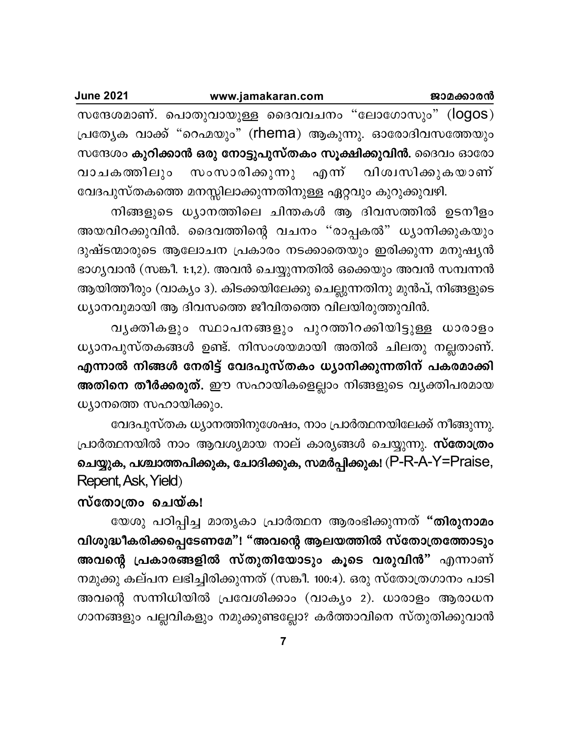| <b>June 2021</b> | www.jamakaran.com | ജാമക്കാരൻ                                                   |
|------------------|-------------------|-------------------------------------------------------------|
|                  |                   | സന്ദേശമാണ്. പൊതുവായുള്ള ദൈവവചനം "ലോഗോസും" (logos)           |
|                  |                   | പ്രത്യേക വാക്ക് "റെഹ്മയും" (rhema) ആകുന്നു. ഓരോദിവസത്തേയും  |
|                  |                   | സന്ദേശം കുറിക്കാൻ ഒരു നോട്ടുപുസ്തകം സൂക്ഷിക്കുവിൻ. ദൈവം ഓരോ |

സംസാരിക്കുന്നു എന്ന് വിശ്വസിക്കുകയാണ് വാചകത്തിലും വേദപുസ്തകത്തെ മനസ്സിലാക്കുന്നതിനുള്ള ഏറ്റവും കുറുക്കുവഴി.

നിങ്ങളുടെ ധ്യാനത്തിലെ ചിന്തകൾ ആ ദിവസത്തിൽ ഉടനീളം അയവിറക്കുവിൻ. ദൈവത്തിന്റെ വചനം "രാപ്പകൽ" ധ്യാനിക്കുകയും ദുഷ്ടന്മാരുടെ ആലോചന പ്രകാരം നടക്കാതെയും ഇരിക്കുന്ന മനുഷൃൻ ഭാഗൃവാൻ (സങ്കീ. 1:1,2). അവൻ ചെയ്യുന്നതിൽ ഒക്കെയും അവൻ സമ്പന്നൻ ആയിത്തീരും (വാക്യം 3). കിടക്കയിലേക്കു ചെല്ലുന്നതിനു മുൻപ്, നിങ്ങളുടെ ധ്യാനവുമായി ആ ദിവസത്തെ ജീവിതത്തെ വിലയിരുത്തുവിൻ.

വൃക്തികളും സ്ഥാപനങ്ങളും പുറത്തിറക്കിയിട്ടുള്ള ധാരാളം ധ്യാനപുസ്തകങ്ങൾ ഉണ്ട്. നിസംശയമായി അതിൽ ചിലതു നല്ലതാണ്. എന്നാൽ നിങ്ങൾ നേരിട്ട് വേദപുസ്തകം ധ്യാനിക്കുന്നതിന് പകരമാക്കി അതിനെ തീർക്കരുത്. ഈ സഹായികളെല്ലാം നിങ്ങളുടെ വൃക്തിപരമായ ധ്യാനത്തെ സഹായിക്കും.

വേദപുസ്തക ധ്യാനത്തിനുശേഷം, നാം പ്രാർത്ഥനയിലേക്ക് നീങ്ങുന്നു. പ്രാർത്ഥനയിൽ നാം ആവശ്യമായ നാല് കാര്യങ്ങൾ ചെയ്യുന്നു. സ്തോത്രം ചെയ്യുക, പശ്ചാത്തപിക്കുക, ചോദിക്കുക, സമർപ്പിക്കുക! (P-R-A-Y=Praise, Repent, Ask, Yield)

## സ്തോത്രം ചെയ്ക!

യേശു പഠിപ്പിച്ച മാതൃകാ പ്രാർത്ഥന ആരംഭിക്കുന്നത് "<mark>തിരുനാമം</mark> വിശുദ്ധീകരിക്കപ്പെടേണമേ"! "അവന്റെ ആലയത്തിൽ സ്തോത്രത്തോടും അവന്റെ പ്രകാരങ്ങളിൽ സ്തുതിയോടും കൂടെ വരുവിൻ" എന്നാണ് നമുക്കു കല്പന ലഭിച്ചിരിക്കുന്നത് (സങ്കീ. 100:4). ഒരു സ്തോത്രഗാനം പാടി അവന്റെ സന്നിധിയിൽ പ്രവേശിക്കാം (വാക്യം 2). ധാരാളം ആരാധന ഗാനങ്ങളും പല്ലവികളും നമുക്കുണ്ടല്ലോ? കർത്താവിനെ സ്തുതിക്കുവാൻ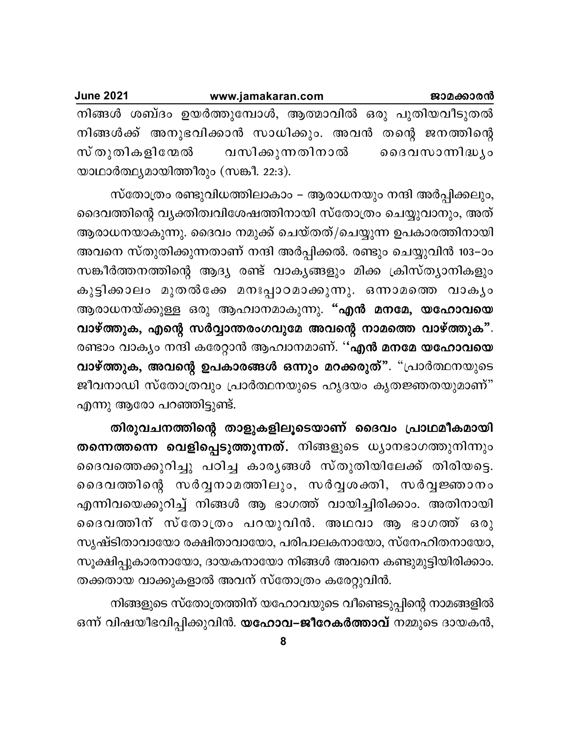| <b>June 2021</b> |                                      | www.jamakaran.com |  |  | ജാമക്കാരൻ                                              |  |
|------------------|--------------------------------------|-------------------|--|--|--------------------------------------------------------|--|
|                  |                                      |                   |  |  | നിങ്ങൾ ശബ്ദം ഉയർത്തുമ്പോൾ, ആത്മാവിൽ ഒരു പുതിയവീടുതൽ    |  |
|                  |                                      |                   |  |  | നിങ്ങൾക്ക് അനുഭവിക്കാൻ സാധിക്കും. അവൻ തന്റെ ജനത്തിന്റെ |  |
|                  | സ്തുതികളിന്മേൽ വസിക്കുന്നതിനാൽ       |                   |  |  | രൈവസാന്നിദ്ധ്യം                                        |  |
|                  | യാഥാർത്ഥ്യമായിത്തീരും (സങ്കീ. 22:3). |                   |  |  |                                                        |  |

സ്തോത്രം രണ്ടുവിധത്തിലാകാം – ആരാധനയും നന്ദി അർപ്പിക്കലും, ദൈവത്തിന്റെ വ്യക്തിത്വവിശേഷത്തിനായി സ്തോത്രം ചെയ്യുവാനും, അത് ആരാധനയാകുന്നു. ദൈവം നമുക്ക് ചെയ്തത്/ചെയ്യുന്ന ഉപകാരത്തിനായി അവനെ സ്തുതിക്കുന്നതാണ് നന്ദി അർപ്പിക്കൽ. രണ്ടും ചെയ്യുവിൻ 103–ാം സങ്കീർത്തനത്തിന്റെ ആദ്യ രണ്ട് വാകൃങ്ങളും മിക്ക ക്രിസ്ത്യാനികളും കുട്ടിക്കാലം മുതൽക്കേ മനഃപ്പാഠമാക്കുന്നു. ഒന്നാമത്തെ വാകൃം ആരാധനയ്ക്കുള്ള ഒരു ആഹ്വാനമാകുന്നു. "എൻ മനമേ, യഹോവയെ വാഴ്ത്തുക, എന്റെ സർവ്വാന്തരംഗവുമേ അവന്റെ നാമത്തെ വാഴ്ത്തുക". രണ്ടാം വാക്യം നന്ദി കരേറ്റാൻ ആഹ്വാനമാണ്. ''എൻ മനമേ യഹോവയെ വാഴ്ത്തുക, അവന്റെ ഉപകാരങ്ങൾ ഒന്നും മറക്കരുത്". "പ്രാർത്ഥനയുടെ ജീവനാഡി സ്തോത്രവും പ്രാർത്ഥനയുടെ ഹൃദയം കൃതജ്ഞതയുമാണ്" എന്നു ആരോ പറഞ്ഞിട്ടുണ്ട്.

തിരുവചനത്തിന്റെ താളുകളിലൂടെയാണ് ദൈവം പ്രാഥമീകമായി തന്നെത്തന്നെ വെളിപ്പെടുത്തുന്നത്. നിങ്ങളുടെ ധ്യാനഭാഗത്തുനിന്നും ദൈവത്തെക്കുറിച്ചു പഠിച്ച കാര്യങ്ങൾ സ്തുതിയിലേക്ക് തിരിയട്ടെ. ദൈവത്തിന്റെ സർവ്വനാമത്തിലും, സർവ്വശക്തി, സർവ്വജ്ഞാനം എന്നിവയെക്കുറിച്ച് നിങ്ങൾ ആ ഭാഗത്ത് വായിച്ചിരിക്കാം. അതിനായി ദൈവത്തിന് സ്തോത്രം പറയുവിൻ. അഥവാ ആ ഭാഗത്ത് ഒരു സൃഷ്ടിതാവായോ രക്ഷിതാവായോ, പരിപാലകനായോ, സ്നേഹിതനായോ, സൂക്ഷിപ്പുകാരനായോ, ദായകനായോ നിങ്ങൾ അവനെ കണ്ടുമുട്ടിയിരിക്കാം. തക്കതായ വാക്കുകളാൽ അവന് സ്തോത്രം കരേറ്റുവിൻ.

നിങ്ങളുടെ സ്തോത്രത്തിന് യഹോവയുടെ വീണ്ടെടുപ്പിന്റെ നാമങ്ങളിൽ ഒന്ന് വിഷയീഭവിപ്പിക്കുവിൻ. യഹോവ–ജീറേകർത്താവ് നമ്മുടെ ദായകൻ,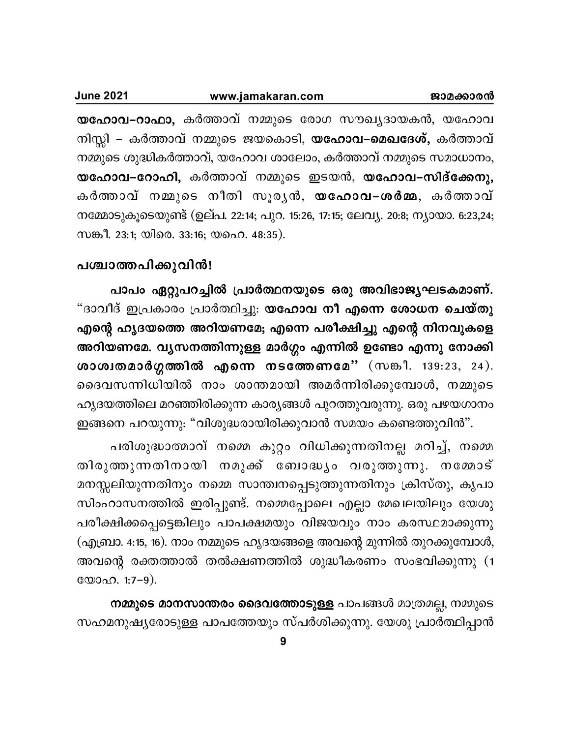| <b>June 2021</b> | www.jamakaran.com | ജാമക്കാരൻ |
|------------------|-------------------|-----------|
|                  |                   |           |

യ**ഹോവ–റാഫാ,** കർത്താവ് നമ്മുടെ രോഗ സൗഖ്യദായകൻ, യഹോവ നിസ്സി – കർത്താവ് നമ്മുടെ ജയകൊടി, **യഹോവ–മെഖദേശ്,** കർത്താവ് നമ്മുടെ ശുദ്ധികർത്താവ്, യഹോവ ശാലോം, കർത്താവ് നമ്മുടെ സമാധാനം, യഹോവ–റോഹി, കർത്താവ് നമ്മുടെ ഇടയൻ, യഹോവ–സിദ്ക്കേനു, കർത്താവ് നമ്മുടെ നീതി സൂരൃൻ, <mark>യഹോവ–ശർമ്മ</mark>, കർത്താവ് നമ്മോടുകൂടെയുണ്ട് (ഉല്പ. 22:14; പുറ. 15:26, 17:15; ലേവ്യ. 20:8; ന്യായാ. 6:23,24; സങ്കീ. 23:1; യിരെ. 33:16; യഹെ. 48:35).

## പശ്ചാത്തപിക്കുവിൻ!

പാപം ഏറ്റുപറച്ചിൽ പ്രാർത്ഥനയുടെ ഒരു അവിഭാജൃഘടകമാണ്. "ദാവീദ് ഇപ്രകാരം പ്രാർത്ഥിച്ചു: **യഹോവ നീ എന്നെ ശോധന ചെയ്തു** എന്റെ ഹൃദയത്തെ അറിയണമേ; എന്നെ പരീക്ഷിച്ചു എന്റെ നിനവുകളെ അറിയണമേ. വൃസനത്തിന്നുള്ള മാർഗ്ഗം എന്നിൽ ഉണ്ടോ എന്നു നോക്കി **ശാശ്വതമാർഗ്ഗത്തിൽ എന്നെ നടത്തേണമേ''** (സങ്കീ. 139:23, 24). ദെവസന്നിധിയിൽ നാം ശാന്തമായി അമർന്നിരിക്കുമ്പോൾ, നമ്മുടെ ഹൃദയത്തിലെ മറഞ്ഞിരിക്കുന്ന കാര്യങ്ങൾ പുറത്തുവരുന്നു. ഒരു പഴയഗാനം ഇങ്ങനെ പറയുന്നു: "വിശുദ്ധരായിരിക്കുവാൻ സമയം കണ്ടെത്തുവിൻ".

പരിശുദ്ധാത്മാവ് നമ്മെ കുറ്റം വിധിക്കുന്നതിനല്ല മറിച്ച്, നമ്മെ തിരുത്തുന്നതിനായി നമുക്ക് ബോദ്ധ്യം വരുത്തുന്നു. നമ്മോട് മനസ്സലിയുന്നതിനും നമ്മെ സാന്ത്വനപ്പെടുത്തുന്നതിനും ക്രിസ്തു, കൃപാ സിംഹാസനത്തിൽ ഇരിപ്പുണ്ട്. നമ്മെപ്പോലെ എല്ലാ മേഖലയിലും യേശു പരീക്ഷിക്കപ്പെട്ടെങ്കിലും പാപക്ഷമയും വിജയവും നാം കരസ്ഥമാക്കുന്നു  $\pi$ (എബ്രാ. 4:15, 16). നാം നമ്മുടെ ഹൃദയങ്ങളെ അവന്റെ മുന്നിൽ തുറക്കുമ്പോൾ, അവന്റെ രക്തത്താൽ തൽക്ഷണത്തിൽ ശുദ്ധീകരണം സംഭവിക്കുന്നു (1  $\mathbb{C}$  $\mathbb{O}$  $\Omega$ . 1:7-9).

**നമ്മുടെ മാനസാന്തരം ദൈവത്തോടുള്ള** പാപങ്ങൾ മാത്രമല്ല, നമ്മുടെ സഹമനുഷ്യരോടുള്ള പാപത്തേയും സ്പർശിക്കുന്നു. യേശു പ്രാർത്ഥിപ്പാൻ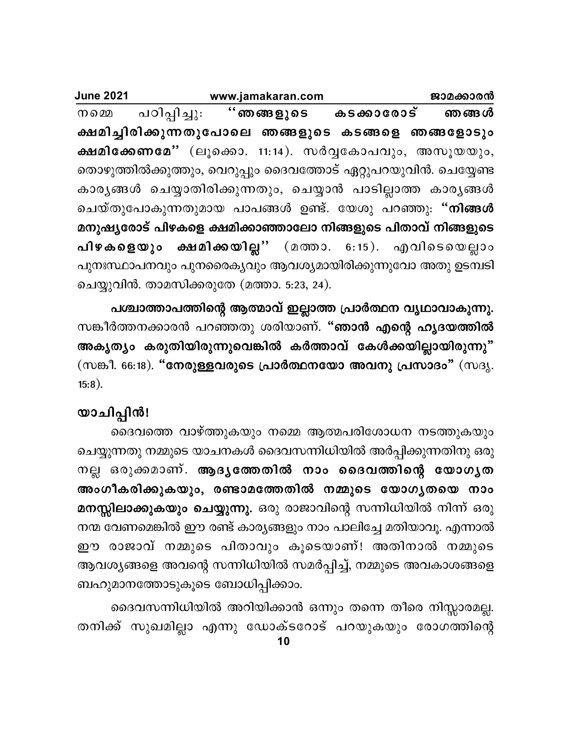| <b>June 2021</b> |                                                                 | www.jamakaran.com |  |  | ജാമക്കാരൻ |
|------------------|-----------------------------------------------------------------|-------------------|--|--|-----------|
| നമെമ             | പഠിപ്പിച്ചു: ''ഞങ്ങളുടെ കടക്കാരോട് ഞങ്ങൾ                        |                   |  |  |           |
|                  | ക്ഷമിച്ചിരിക്കുന്നതുപോലെ ഞങ്ങളുടെ കടങ്ങളെ ഞങ്ങളോടും             |                   |  |  |           |
|                  | ക്ഷമിക്കേണമേ" (ലൂക്കൊ. 11:14). സർവ്വകോപവും, അസൂയയും,            |                   |  |  |           |
|                  | തൊഴുത്തിൽക്കുത്തും, വെറുപ്പും ദൈവത്തോട് ഏറ്റുപറയുവിൻ. ചെയ്യേണ്ട |                   |  |  |           |
|                  | കാരൃങ്ങൾ ചെയ്യാതിരിക്കുന്നതും, ചെയ്യാൻ പാടില്ലാത്ത കാരൃങ്ങൾ     |                   |  |  |           |
|                  | ചെയ്തുപോകുന്നതുമായ പാപങ്ങൾ ഉണ്ട്. യേശു പറഞ്ഞു: " <b>നിങ്ങൾ</b>  |                   |  |  |           |
|                  | മനുഷ്യരോട് പിഴകളെ ക്ഷമിക്കാഞ്ഞാലോ നിങ്ങളുടെ പിതാവ് നിങ്ങളുടെ    |                   |  |  |           |
|                  | പിഴകളെയും ക്ഷമിക്കയില്ല" (മത്താ. 6:15). എവിടെയെല്ലാം            |                   |  |  |           |
|                  | പുനഃസ്ഥാപനവും പുനരൈകൃവും ആവശ്യമായിരിക്കുന്നുവോ അതു ഉടമ്പടി      |                   |  |  |           |
|                  | ചെയ്യുവിൻ. താമസിക്കരുതേ (മത്താ. 5:23, 24).                      |                   |  |  |           |

പശ്ചാത്താപത്തിന്റെ ആത്മാവ് ഇല്ലാത്ത പ്രാർത്ഥന വൃഥാവാകുന്നു. സങ്കീർത്തനക്കാരൻ പറഞ്ഞതു ശരിയാണ്. "<mark>ഞാൻ എന്റെ ഹൃദയത്തിൽ</mark> അകൃത്യം കരുതിയിരുന്നുവെങ്കിൽ കർത്താവ് കേൾക്കയില്ലായിരുന്നു" (സങ്കീ. 66:18). "നേരുള്ളവരുടെ പ്രാർത്ഥനയോ അവനു പ്രസാദം" (സദൃ.  $15:8$ ).

## യാചിപ്പിൻ!

ദൈവത്തെ വാഴ്ത്തുകയും നമ്മെ ആത്മപരിശോധന നടത്തുകയും ചെയ്യുന്നതു നമ്മുടെ യാചനകൾ ദൈവസന്നിധിയിൽ അർപ്പിക്കുന്നതിനു ഒരു നല്ല ഒരുക്കമാണ്. ആദൃത്തേതിൽ നാം ദൈവത്തിന്റെ യോഗൃത അംഗീകരിക്കുകയും, രണ്ടാമത്തേതിൽ നമ്മുടെ യോഗൃതയെ നാം മനസ്സിലാക്കുകയും ചെയ്യുന്നു. ഒരു രാജാവിന്റെ സന്നിധിയിൽ നിന്ന് ഒരു നന്മ വേണമെങ്കിൽ ഈ രണ്ട് കാര്യങ്ങളും നാം പാലിച്ചേ മതിയാവൂ. എന്നാൽ ഈ രാജാവ് നമ്മുടെ പിതാവും കൂടെയാണ്! അതിനാൽ നമ്മുടെ ആവശ്യങ്ങളെ അവന്റെ സന്നിധിയിൽ സമർപ്പിച്ച്, നമ്മുടെ അവകാശങ്ങളെ ബഹുമാനത്തോടുകൂടെ ബോധിപ്പിക്കാം.

ദൈവസന്നിധിയിൽ അറിയിക്കാൻ ഒന്നും തന്നെ തീരെ നിസ്സാരമല്ല. തനിക്ക് സുഖമില്ലാ എന്നു ഡോക്ടറോട് പറയുകയും രോഗത്തിന്റെ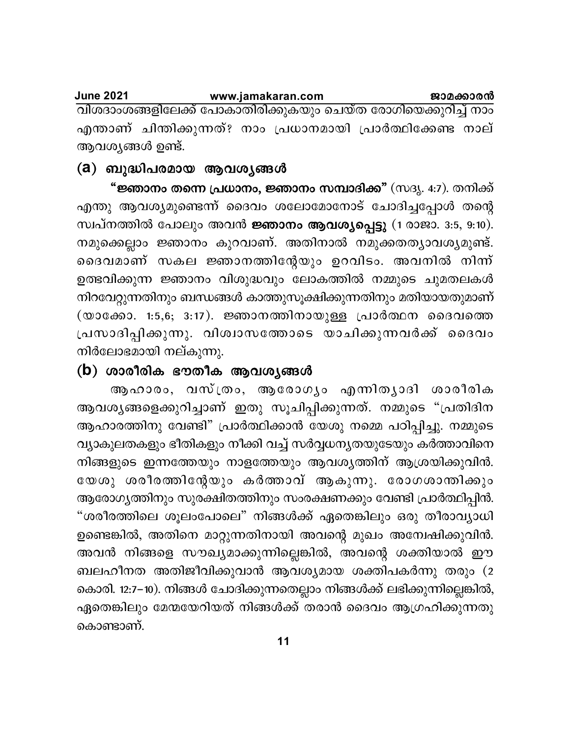#### **June 2021** www.jamakaran.com ജാമക്കാരൻ വിശദാംശങ്ങളിലേക്ക് പോകാതിരിക്കുകയും ചെയ്ത രോഗിയെക്കുറിച്ച് നാം എന്താണ് ചിന്തിക്കുന്നത്? നാം പ്രധാനമായി പ്രാർത്ഥിക്കേണ്ട നാല് ആവശ്യങ്ങൾ ഉണ്ട്.

## (a) ബുദ്ധിപരമായ ആവശ്യങ്ങൾ

<mark>"ജ്ഞാനം തന്നെ പ്രധാനം, ജ്ഞാനം സമ്പാദിക്ക"</mark> (സദൃ. 4:7). തനിക്ക് എന്തു ആവശ്യമുണ്ടെന്ന് ദൈവം ശലോമോനോട് ചോദിച്ചപ്പോൾ തന്റെ സ്വപ്നത്തിൽ പോലും അവൻ ജ്ഞാനം ആവശ്യപ്പെട്ടു (1 രാജാ. 3:5, 9:10). നമുക്കെല്ലാം ജ്ഞാനം കുറവാണ്. അതിനാൽ നമുക്കതതൃാവശൃമുണ്ട്. ദൈവമാണ് സകല ജ്ഞാനത്തിന്റേയും ഉറവിടം. അവനിൽ നിന്ന് ഉത്ഭവിക്കുന്ന ജ്ഞാനം വിശുദ്ധവും ലോകത്തിൽ നമ്മുടെ ചുമതലകൾ നിറവേറ്റുന്നതിനും ബന്ധങ്ങൾ കാത്തുസൂക്ഷിക്കുന്നതിനും മതിയായതുമാണ്  $(\infty$ ാക്കോ. 1:5,6; 3:17). ജ്ഞാനത്തിനായുള്ള പ്രാർത്ഥന ദൈവത്തെ പ്രസാദിപ്പിക്കുന്നു. വിശ്വാസത്തോടെ യാചിക്കുന്നവർക്ക് ദൈവം നിർലോഭമായി നല്കുന്നു.

## $(b)$  ശാരീരിക ഭൗതീക ആവശ്യങ്ങൾ

ആഹാരം, വസ്ത്രം, ആരോഗൃം എന്നിതൃാദി ശാരീരിക ആവശ്യങ്ങളെക്കുറിച്ചാണ് ഇതു സൂചിപ്പിക്കുന്നത്. നമ്മുടെ "പ്രതിദിന ആഹാരത്തിനു വേണ്ടി" പ്രാർത്ഥിക്കാൻ യേശു നമ്മെ പഠിപ്പിച്ചു. നമ്മുടെ വ്യാകുലതകളും ഭീതികളും നീക്കി വച്ച് സർവ്വധന്യതയുടേയും കർത്താവിനെ നിങ്ങളുടെ ഇന്നത്തേയും നാളത്തേയും ആവശ്യത്തിന് ആശ്രയിക്കുവിൻ. യേശു ശരീരത്തിന്റേയും കർത്താവ് ആകുന്നു. രോഗശാന്തിക്കും ആരോഗ്യത്തിനും സുരക്ഷിതത്തിനും സംരക്ഷണക്കും വേണ്ടി പ്രാർത്ഥിപ്പിൻ. "ശരീരത്തിലെ ശൂലംപോലെ" നിങ്ങൾക്ക് ഏതെങ്കിലും ഒരു തീരാവ്യാധി ഉണ്ടെങ്കിൽ, അതിനെ മാറ്റുന്നതിനായി അവന്റെ മുഖം അന്വേഷിക്കുവിൻ. അവൻ നിങ്ങളെ സൗഖ്യമാക്കുന്നില്ലെങ്കിൽ, അവന്റെ ശക്തിയാൽ ഈ ബലഹീനത അതിജീവിക്കുവാൻ ആവശ്യമായ ശക്തിപകർന്നു തരും (2 കൊരി. 12:7–10). നിങ്ങൾ ചോദിക്കുന്നതെല്ലാം നിങ്ങൾക്ക് ലഭിക്കുന്നില്ലെങ്കിൽ, ഏതെങ്കിലും മേന്മയേറിയത് നിങ്ങൾക്ക് തരാൻ ദൈവം ആഗ്രഹിക്കുന്നതു കൊണ്ടാണ്.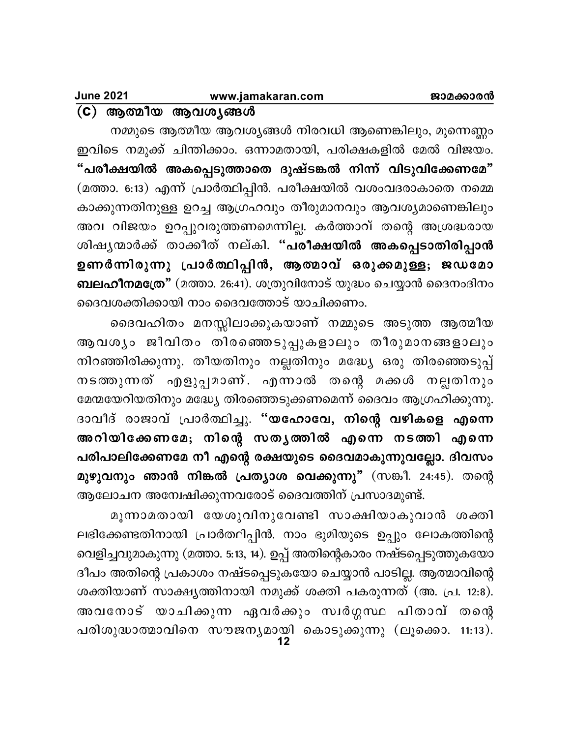$(C)$  ആത്മീയ ആവശ്യങ്ങൾ

നമ്മുടെ ആത്മീയ ആവശ്യങ്ങൾ നിരവധി ആണെങ്കിലും, മൂന്നെണ്ണം ഇവിടെ നമുക്ക് ചിന്തിക്കാം. ഒന്നാമതായി, പരിക്ഷകളിൽ മേൽ വിജയം. "പരീക്ഷയിൽ അകപ്പെടുത്താതെ ദുഷ്ടങ്കൽ നിന്ന് വിടുവിക്കേണമേ" (മത്താ. 6:13) എന്ന് പ്രാർത്ഥിപ്പിൻ. പരീക്ഷയിൽ വശംവദരാകാതെ നമ്മെ കാക്കുന്നതിനുള്ള ഉറച്ച ആഗ്രഹവും തീരുമാനവും ആവശ്യമാണെങ്കിലും അവ വിജയം ഉറപ്പുവരുത്തണമെന്നില്ല. കർത്താവ് തന്റെ അശ്രദ്ധരായ ശിഷ്യന്മാർക്ക് താക്കീത് നല്കി. "<mark>പരീക്ഷയിൽ അകപ്പെടാതിരിപ്പാൻ</mark> ഉണർന്നിരുന്നു പ്രാർത്ഥിപ്പിൻ, ആത്മാവ് ഒരുക്കമുള്ള; ജഡമോ ബലഹീനമത്രേ" (മത്താ. 26:41). ശത്രുവിനോട് യുദ്ധം ചെയ്യാൻ ദൈനംദിനം ദൈവശക്തിക്കായി നാം ദൈവത്തോട് യാചിക്കണം.

ദൈവഹിതം മനസ്സിലാക്കുകയാണ് നമ്മുടെ അടുത്ത ആത്മീയ ആവശ്യം ജീവിതം തിരഞ്ഞെടുപ്പുകളാലും തീരുമാനങ്ങളാലും നിറഞ്ഞിരിക്കുന്നു. തീയതിനും നല്ലതിനും മദ്ധ്യേ ഒരു തിരഞ്ഞെടുപ്പ് നടത്തുന്നത് എളുപ്പമാണ്. എന്നാൽ തന്റെ മക്കൾ നല്ലതിനും മേന്മയേറിയതിനും മദ്ധ്യേ തിരഞ്ഞെടുക്കണമെന്ന് ദൈവം ആഗ്രഹിക്കുന്നു. ദാവീദ് രാജാവ് പ്രാർത്ഥിച്ചു. "യഹോവേ, നിന്റെ വഴികളെ എന്നെ അറിയിക്കേണമേ; നിന്റെ സതൃത്തിൽ എന്നെ നടത്തി എന്നെ പരിപാലിക്കേണമേ നീ എന്റെ രക്ഷയുടെ ദൈവമാകുന്നുവല്ലോ. ദിവസം മുഴു<mark>വനും ഞാൻ നിങ്കൽ പ്രത്യാശ വെക്കുന്നു"</mark> (സങ്കീ. 24:45). തന്റെ ആലോചന അന്വേഷിക്കുന്നവരോട് ദൈവത്തിന് പ്രസാദമുണ്ട്.

മൂന്നാമതായി യേശുവിനുവേണ്ടി സാക്ഷിയാകുവാൻ ശക്തി ലഭിക്കേണ്ടതിനായി പ്രാർത്ഥിപ്പിൻ. നാം ഭൂമിയുടെ ഉപ്പും ലോകത്തിന്റെ വെളിച്ചവുമാകുന്നു (മത്താ. 5:13, 14). ഉപ്പ് അതിന്റെകാരം നഷ്ടപ്പെടുത്തുകയോ ദീപം അതിന്റെ പ്രകാശം നഷ്ടപ്പെടുകയോ ചെയ്യാൻ പാടില്ല. ആത്മാവിന്റെ ശക്തിയാണ് സാക്ഷ്യത്തിനായി നമുക്ക് ശക്തി പകരുന്നത് (അ. പ്ര. 12:8). അവനോട് യാചിക്കുന്ന ഏവർക്കും സ്വർഗ്ഗസ്ഥ പിതാവ് തന്റെ പരിശുദ്ധാത്മാവിനെ സൗജന്യമായി കൊടുക്കുന്നു (ലൂക്കൊ. 11:13).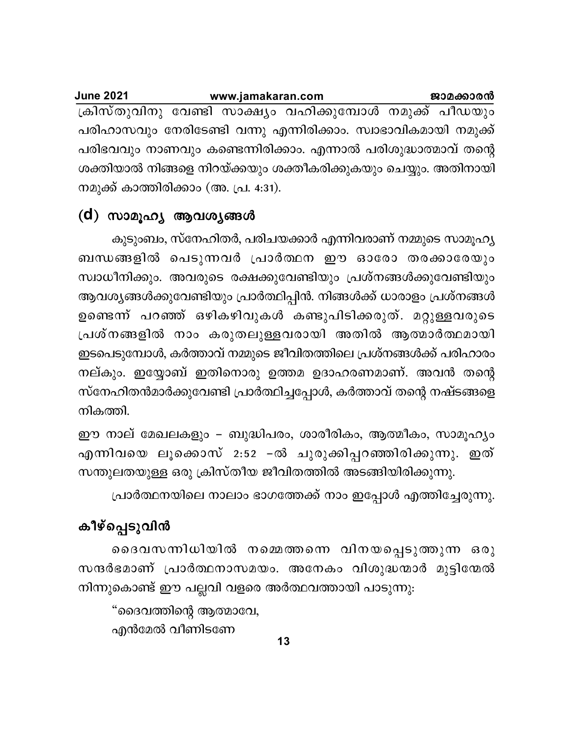| <b>June 2021</b>                                               | www.jamakaran.com |  | ജാമക്കാരൻ |
|----------------------------------------------------------------|-------------------|--|-----------|
| ക്രിസ്തുവിനു വേണ്ടി സാക്ഷ്യം വഹിക്കുമ്പോൾ നമുക്ക് പീഡയും       |                   |  |           |
| പരിഹാസവും നേരിടേണ്ടി വന്നു എന്നിരിക്കാം. സ്വാഭാവികമായി നമുക്ക് |                   |  |           |
| പരിഭവവും നാണവും കണ്ടെന്നിരിക്കാം. എന്നാൽ പരിശുദ്ധാത്മാവ് തന്റെ |                   |  |           |
| ശക്തിയാൽ നിങ്ങളെ നിറയ്ക്കയും ശക്തീകരിക്കുകയും ചെയ്യും. അതിനായി |                   |  |           |
| നമുക്ക് കാത്തിരിക്കാം (അ. പ്ര. 4:31).                          |                   |  |           |

## (d) സാമൂഹ്യ ആവശ്യങ്ങൾ

കുടുംബം, സ്നേഹിതർ, പരിചയക്കാർ എന്നിവരാണ് നമ്മുടെ സാമൂഹ്യ ബന്ധങ്ങളിൽ പെടുന്നവർ പ്രാർത്ഥന ഈ ഓരോ തരക്കാരേയും സ്വാധീനിക്കും. അവരുടെ രക്ഷക്കുവേണ്ടിയും പ്രശ്നങ്ങൾക്കുവേണ്ടിയും ആവശ്യങ്ങൾക്കുവേണ്ടിയും പ്രാർത്ഥിപ്പിൻ. നിങ്ങൾക്ക് ധാരാളം പ്രശ്നങ്ങൾ ഉണ്ടെന്ന് പറഞ്ഞ് ഒഴികഴിവുകൾ കണ്ടുപിടിക്കരുത്. മറ്റുള്ളവരുടെ പ്രശ്നങ്ങളിൽ നാം കരുതലുള്ളവരായി അതിൽ ആത്മാർത്ഥമായി ഇടപെടുമ്പോൾ, കർത്താവ് നമ്മുടെ ജീവിതത്തിലെ പ്രശ്നങ്ങൾക്ക് പരിഹാരം നല്കും. ഇയ്യോബ് ഇതിനൊരു ഉത്തമ ഉദാഹരണമാണ്. അവൻ തന്റെ സ്നേഹിതൻമാർക്കുവേണ്ടി പ്രാർത്ഥിച്ചപ്പോൾ, കർത്താവ് തന്റെ നഷ്ടങ്ങളെ നികത്തി.

ഈ നാല് മേഖലകളും – ബുദ്ധിപരം, ശാരീരികം, ആത്മീകം, സാമൂഹ്യം എന്നിവയെ ലൂക്കൊസ് 2:52 −ൽ ചുരുക്കിപ്പറഞ്ഞിരിക്കുന്നു. ഇത് സന്തുലതയുള്ള ഒരു ക്രിസ്തീയ ജീവിതത്തിൽ അടങ്ങിയിരിക്കുന്നു.

പ്രാർത്ഥനയിലെ നാലാം ഭാഗത്തേക്ക് നാം ഇപ്പോൾ എത്തിച്ചേരുന്നു.

# കീഴ്പ്പെടുവിൻ

ദൈവസന്നിധിയിൽ നമ്മെത്തന്നെ വിനയപ്പെടുത്തുന്ന ഒരു സന്ദർഭമാണ് പ്രാർത്ഥനാസമയം. അനേകം വിശുദ്ധന്മാർ മുട്ടിന്മേൽ നിന്നുകൊണ്ട് ഈ പല്ലവി വളരെ അർത്ഥവത്തായി പാടുന്നു:

"ദൈവത്തിന്റെ ആത്മാവേ, എൻമേൽ വീണിടണേ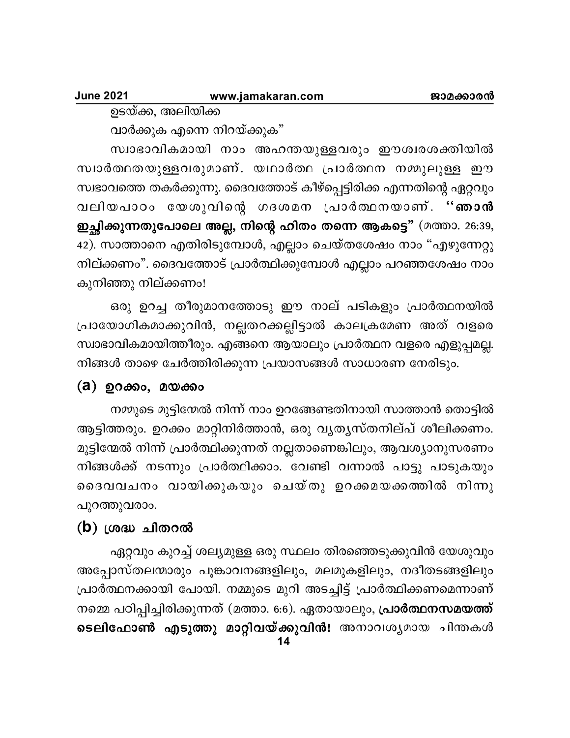ഉടയ്ക്ക, അലിയിക്ക

വാർക്കുക എന്നെ നിറയ്ക്കുക"

സ്വാഭാവികമായി നാം അഹന്തയുള്ളവരും ഈശ്വരശക്തിയിൽ സ്വാർത്ഥതയുള്ളവരുമാണ്. യഥാർത്ഥ പ്രാർത്ഥന നമ്മുലുള്ള ഈ സ്വഭാവത്തെ തകർക്കുന്നു. ദൈവത്തോട് കീഴ്പ്പെട്ടിരിക്ക എന്നതിന്റെ ഏറ്റവും വലിയപാഠം യേശുവിന്റെ ഗദശമന പ്രാർത്ഥനയാണ്. "ഞാൻ ഇച്ഛിക്കുന്നതുപോലെ അല്ല, നിന്റെ ഹിതം തന്നെ ആകട്ടെ" (മത്താ. 26:39, 42). സാത്താനെ എതിരിടുമ്പോൾ, എല്ലാം ചെയ്തശേഷം നാം "എഴുന്നേറ്റു നില്ക്കണം". ദൈവത്തോട് പ്രാർത്ഥിക്കുമ്പോൾ എല്ലാം പറഞ്ഞശേഷം നാം കുനിഞ്ഞു നില്ക്കണം!

ഒരു ഉറച്ച തീരുമാനത്തോടു ഈ നാല് പടികളും പ്രാർത്ഥനയിൽ പ്രായോഗികമാക്കുവിൻ, നല്ലതറക്കല്ലിട്ടാൽ കാലക്രമേണ അത് വളരെ സ്വാഭാവികമായിത്തീരും. എങ്ങനെ ആയാലും പ്രാർത്ഥന വളരെ എളുപ്പമല്ല. നിങ്ങൾ താഴെ ചേർത്തിരിക്കുന്ന പ്രയാസങ്ങൾ സാധാരണ നേരിടും.

## (a) ഉറക്കം, മയക്കം

നമ്മുടെ മുട്ടിന്മേൽ നിന്ന് നാം ഉറങ്ങേണ്ടതിനായി സാത്താൻ തൊട്ടിൽ ആട്ടിത്തരും. ഉറക്കം മാറ്റിനിർത്താൻ, ഒരു വൃതൃസ്തനില്പ് ശീലിക്കണം. മുട്ടിന്മേൽ നിന്ന് പ്രാർത്ഥിക്കുന്നത് നല്ലതാണെങ്കിലും, ആവശ്യാനുസരണം നിങ്ങൾക്ക് നടന്നും പ്രാർത്ഥിക്കാം. വേണ്ടി വന്നാൽ പാട്ടു പാടുകയും ദൈവവചനം വായിക്കുകയും ചെയ്തു ഉറക്കമയക്കത്തിൽ നിന്നു പുറത്തുവരാം.

## $(b)$  ശ്രദ്ധ ചിതറൽ

ഏറ്റവും കുറച്ച് ശല്യമുള്ള ഒരു സ്ഥലം തിരഞ്ഞെടുക്കുവിൻ യേശുവും അപ്പോസ്തലന്മാരും പൂങ്കാവനങ്ങളിലും, മലമുകളിലും, നദീതടങ്ങളിലും പ്രാർത്ഥനക്കായി പോയി. നമ്മുടെ മുറി അടച്ചിട്ട് പ്രാർത്ഥിക്കണമെന്നാണ് നമ്മെ പഠിപ്പിച്ചിരിക്കുന്നത് (മത്താ. 6:6). ഏതായാലും, പ്രാർത്ഥനസമയത്ത് ടെലിഫോൺ എടുത്തു മാറ്റിവയ്ക്കുവിൻ! അനാവശ്യമായ ചിന്തകൾ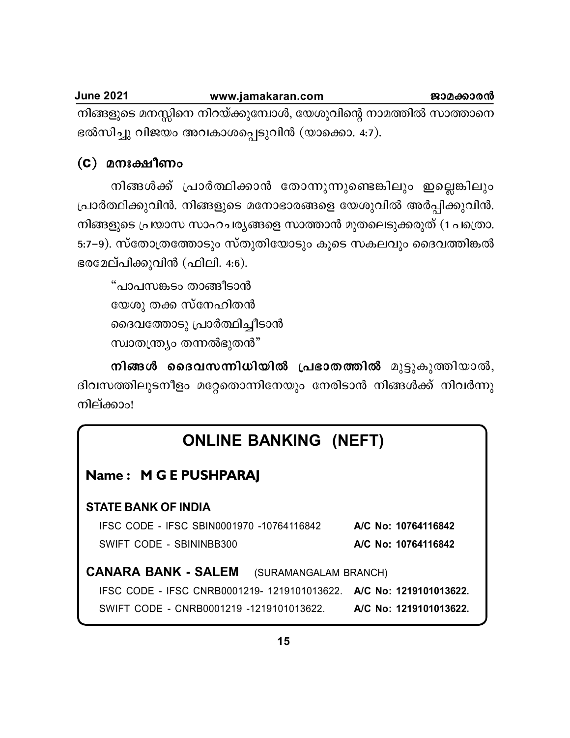| <b>June 2021</b> | www.jamakaran.com                                               | ജാമക്കാരൻ |
|------------------|-----------------------------------------------------------------|-----------|
|                  | നിങ്ങളുടെ മനസ്സിനെ നിറയ്ക്കുമ്പോൾ, യേശുവിന്റെ നാമത്തിൽ സാത്താനെ |           |
|                  | ഭൽസിച്ചു വിജയം അവകാശപ്പെടുവിൻ (യാക്കൊ. 4:7).                    |           |

## $(C)$  മനഃക്ഷീണം

നിങ്ങൾക്ക് പ്രാർത്ഥിക്കാൻ തോന്നുന്നുണ്ടെങ്കിലും ഇല്ലെങ്കിലും പ്രാർത്ഥിക്കുവിൻ. നിങ്ങളുടെ മനോഭാരങ്ങളെ യേശുവിൽ അർപ്പിക്കുവിൻ. നിങ്ങളുടെ പ്രയാസ സാഹചര്യങ്ങളെ സാത്താൻ മുതലെടുക്കരുത് (1 പത്രൊ. 5:7–9). സ്തോത്രത്തോടും സ്തുതിയോടും കൂടെ സകലവും ദൈവത്തിങ്കൽ ഭരമേല്പിക്കുവിൻ (ഫിലി. 4:6).

```
"പാപസങ്കടം താങ്ങീടാൻ
യേശു തക്ക സ്നേഹിതൻ
ദൈവത്തോടു പ്രാർത്ഥിച്ചീടാൻ
സ്വാതന്ത്ര്യം തന്നൽഭുതൻ"
```
നിങ്ങൾ ദൈവസന്നിധിയിൽ പ്രഭാതത്തിൽ മുട്ടുകുത്തിയാൽ, ദിവസത്തിലുടനീളം മറ്റേതൊന്നിനേയും നേരിടാൻ നിങ്ങൾക്ക് നിവർന്നു നില്ക്കാം!

| <b>ONLINE BANKING (NEFT)</b>                                        |                        |
|---------------------------------------------------------------------|------------------------|
| Name: M G E PUSHPARAJ                                               |                        |
| <b>STATE BANK OF INDIA</b>                                          |                        |
| IFSC CODE - IFSC SBIN0001970 -10764116842                           | A/C No: 10764116842    |
| SWIFT CODE - SBININBB300                                            | A/C No: 10764116842    |
| <b>CANARA BANK - SALEM</b><br>(SURAMANGALAM BRANCH)                 |                        |
| IFSC CODE - IFSC CNRB0001219- 1219101013622. A/C No: 1219101013622. |                        |
| SWIFT CODE - CNRB0001219 -1219101013622.                            | A/C No: 1219101013622. |